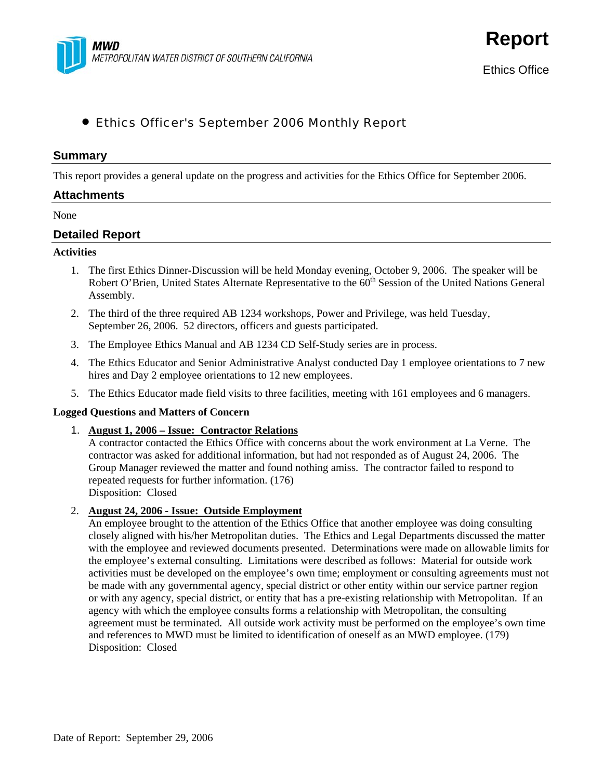

**Report**

# • Ethics Officer's September 2006 Monthly Report

### **Summary**

This report provides a general update on the progress and activities for the Ethics Office for September 2006.

#### **Attachments**

#### None

## **Detailed Report**

### **Activities**

- 1. The first Ethics Dinner-Discussion will be held Monday evening, October 9, 2006. The speaker will be Robert O'Brien, United States Alternate Representative to the 60<sup>th</sup> Session of the United Nations General Assembly.
- 2. The third of the three required AB 1234 workshops, Power and Privilege, was held Tuesday, September 26, 2006. 52 directors, officers and guests participated.
- 3. The Employee Ethics Manual and AB 1234 CD Self-Study series are in process.
- 4. The Ethics Educator and Senior Administrative Analyst conducted Day 1 employee orientations to 7 new hires and Day 2 employee orientations to 12 new employees.
- 5. The Ethics Educator made field visits to three facilities, meeting with 161 employees and 6 managers.

#### **Logged Questions and Matters of Concern**

1. **August 1, 2006 – Issue: Contractor Relations**

A contractor contacted the Ethics Office with concerns about the work environment at La Verne. The contractor was asked for additional information, but had not responded as of August 24, 2006. The Group Manager reviewed the matter and found nothing amiss. The contractor failed to respond to repeated requests for further information. (176) Disposition: Closed

2. **August 24, 2006 - Issue: Outside Employment**

An employee brought to the attention of the Ethics Office that another employee was doing consulting closely aligned with his/her Metropolitan duties. The Ethics and Legal Departments discussed the matter with the employee and reviewed documents presented. Determinations were made on allowable limits for the employee's external consulting. Limitations were described as follows: Material for outside work activities must be developed on the employee's own time; employment or consulting agreements must not be made with any governmental agency, special district or other entity within our service partner region or with any agency, special district, or entity that has a pre-existing relationship with Metropolitan. If an agency with which the employee consults forms a relationship with Metropolitan, the consulting agreement must be terminated. All outside work activity must be performed on the employee's own time and references to MWD must be limited to identification of oneself as an MWD employee. (179) Disposition: Closed